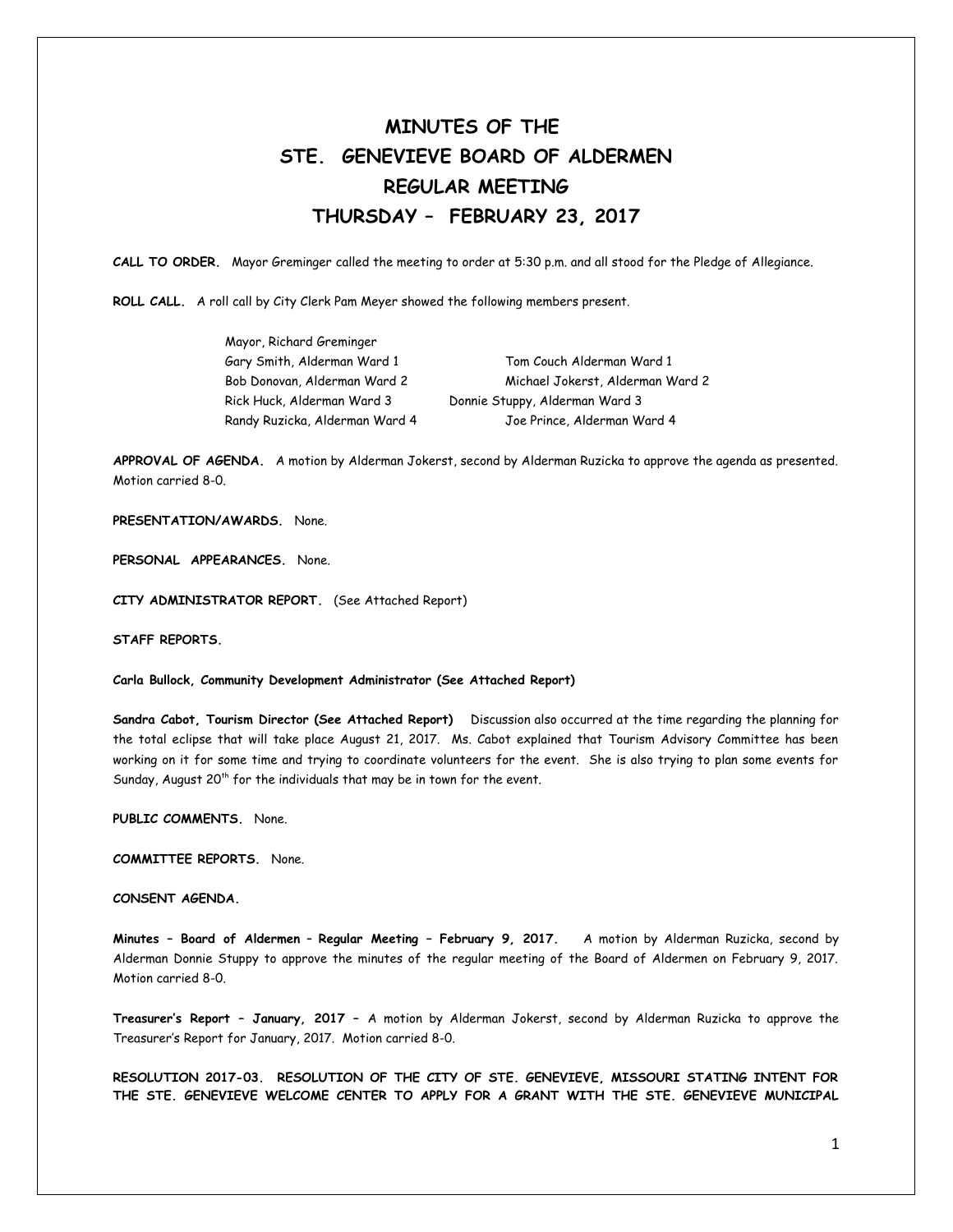## **MINUTES OF THE STE. GENEVIEVE BOARD OF ALDERMEN REGULAR MEETING THURSDAY – FEBRUARY 23, 2017**

**CALL TO ORDER.** Mayor Greminger called the meeting to order at 5:30 p.m. and all stood for the Pledge of Allegiance.

**ROLL CALL.** A roll call by City Clerk Pam Meyer showed the following members present.

| Mayor, Richard Greminger       |                                  |
|--------------------------------|----------------------------------|
| Gary Smith, Alderman Ward 1    | Tom Couch Alderman Ward 1        |
| Bob Donovan, Alderman Ward 2   | Michael Jokerst, Alderman Ward 2 |
| Rick Huck, Alderman Ward 3     | Donnie Stuppy, Alderman Ward 3   |
| Randy Ruzicka, Alderman Ward 4 | Joe Prince, Alderman Ward 4      |

**APPROVAL OF AGENDA.** A motion by Alderman Jokerst, second by Alderman Ruzicka to approve the agenda as presented. Motion carried 8-0.

**PRESENTATION/AWARDS.** None.

**PERSONAL APPEARANCES.** None.

**CITY ADMINISTRATOR REPORT.** (See Attached Report)

**STAFF REPORTS.** 

**Carla Bullock, Community Development Administrator (See Attached Report)** 

**Sandra Cabot, Tourism Director (See Attached Report)** Discussion also occurred at the time regarding the planning for the total eclipse that will take place August 21, 2017. Ms. Cabot explained that Tourism Advisory Committee has been working on it for some time and trying to coordinate volunteers for the event. She is also trying to plan some events for Sunday, August  $20<sup>th</sup>$  for the individuals that may be in town for the event.

**PUBLIC COMMENTS.** None.

**COMMITTEE REPORTS.** None.

**CONSENT AGENDA.** 

**Minutes – Board of Aldermen** – **Regular Meeting – February 9, 2017.** A motion by Alderman Ruzicka, second by Alderman Donnie Stuppy to approve the minutes of the regular meeting of the Board of Aldermen on February 9, 2017. Motion carried 8-0.

**Treasurer's Report – January, 2017 –** A motion by Alderman Jokerst, second by Alderman Ruzicka to approve the Treasurer's Report for January, 2017. Motion carried 8-0.

**RESOLUTION 2017-03. RESOLUTION OF THE CITY OF STE. GENEVIEVE, MISSOURI STATING INTENT FOR THE STE. GENEVIEVE WELCOME CENTER TO APPLY FOR A GRANT WITH THE STE. GENEVIEVE MUNICIPAL**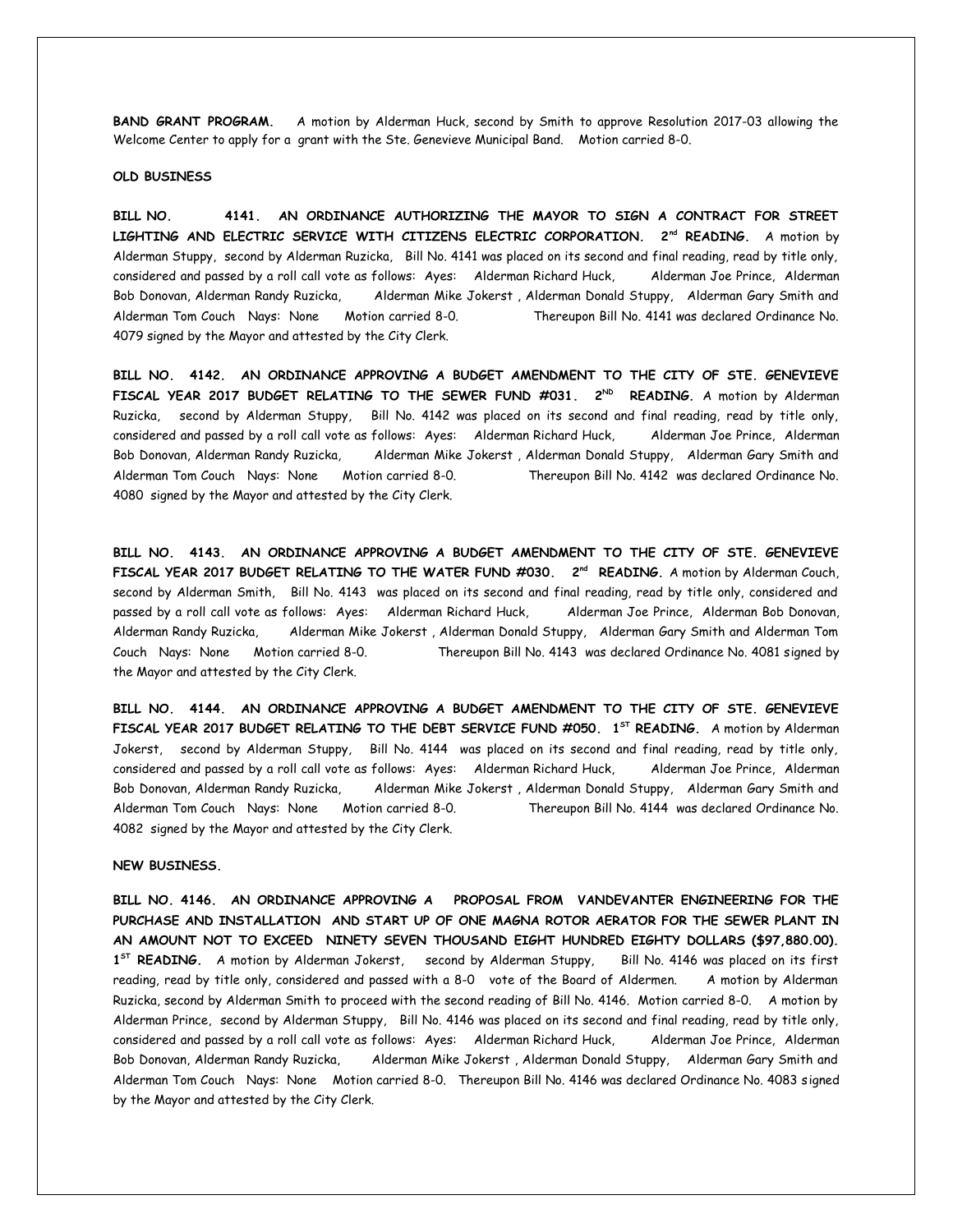**BAND GRANT PROGRAM.** A motion by Alderman Huck, second by Smith to approve Resolution 2017-03 allowing the Welcome Center to apply for a grant with the Ste. Genevieve Municipal Band. Motion carried 8-0.

## **OLD BUSINESS**

**BILL NO. 4141. AN ORDINANCE AUTHORIZING THE MAYOR TO SIGN A CONTRACT FOR STREET** LIGHTING AND ELECTRIC SERVICE WITH CITIZENS ELECTRIC CORPORATION. 2<sup>nd</sup> READING. A motion by Alderman Stuppy, second by Alderman Ruzicka, Bill No. 4141 was placed on its second and final reading, read by title only, considered and passed by a roll call vote as follows: Ayes: Alderman Richard Huck, Alderman Joe Prince, Alderman Bob Donovan, Alderman Randy Ruzicka, Alderman Mike Jokerst , Alderman Donald Stuppy, Alderman Gary Smith and Alderman Tom Couch Nays: None Motion carried 8-0. Thereupon Bill No. 4141 was declared Ordinance No. 4079 signed by the Mayor and attested by the City Clerk.

**BILL NO. 4142. AN ORDINANCE APPROVING A BUDGET AMENDMENT TO THE CITY OF STE. GENEVIEVE** FISCAL YEAR 2017 BUDGET RELATING TO THE SEWER FUND #031. 2<sup>ND</sup> READING. A motion by Alderman Ruzicka, second by Alderman Stuppy, Bill No. 4142 was placed on its second and final reading, read by title only, considered and passed by a roll call vote as follows: Ayes: Alderman Richard Huck, Alderman Joe Prince, Alderman Bob Donovan, Alderman Randy Ruzicka, Alderman Mike Jokerst , Alderman Donald Stuppy, Alderman Gary Smith and Alderman Tom Couch Nays: None Motion carried 8-0. Thereupon Bill No. 4142 was declared Ordinance No. 4080 signed by the Mayor and attested by the City Clerk.

**BILL NO. 4143. AN ORDINANCE APPROVING A BUDGET AMENDMENT TO THE CITY OF STE. GENEVIEVE** FISCAL YEAR 2017 BUDGET RELATING TO THE WATER FUND #030. 2<sup>nd</sup> READING. A motion by Alderman Couch, second by Alderman Smith, Bill No. 4143 was placed on its second and final reading, read by title only, considered and passed by a roll call vote as follows: Ayes: Alderman Richard Huck, Alderman Joe Prince, Alderman Bob Donovan, Alderman Randy Ruzicka, Alderman Mike Jokerst , Alderman Donald Stuppy, Alderman Gary Smith and Alderman Tom Couch Nays: None Motion carried 8-0. Thereupon Bill No. 4143 was declared Ordinance No. 4081 signed by the Mayor and attested by the City Clerk.

**BILL NO. 4144. AN ORDINANCE APPROVING A BUDGET AMENDMENT TO THE CITY OF STE. GENEVIEVE FISCAL YEAR 2017 BUDGET RELATING TO THE DEBT SERVICE FUND #050. 1ST READING.** A motion by Alderman Jokerst, second by Alderman Stuppy, Bill No. 4144 was placed on its second and final reading, read by title only, considered and passed by a roll call vote as follows: Ayes: Alderman Richard Huck, Alderman Joe Prince, Alderman Bob Donovan, Alderman Randy Ruzicka, Alderman Mike Jokerst , Alderman Donald Stuppy, Alderman Gary Smith and Alderman Tom Couch Nays: None Motion carried 8-0. Thereupon Bill No. 4144 was declared Ordinance No. 4082 signed by the Mayor and attested by the City Clerk.

## **NEW BUSINESS.**

**BILL NO. 4146. AN ORDINANCE APPROVING A PROPOSAL FROM VANDEVANTER ENGINEERING FOR THE PURCHASE AND INSTALLATION AND START UP OF ONE MAGNA ROTOR AERATOR FOR THE SEWER PLANT IN AN AMOUNT NOT TO EXCEED NINETY SEVEN THOUSAND EIGHT HUNDRED EIGHTY DOLLARS (\$97,880.00). 1 ST READING.** A motion by Alderman Jokerst, second by Alderman Stuppy, Bill No. 4146 was placed on its first reading, read by title only, considered and passed with a 8-0 vote of the Board of Aldermen. A motion by Alderman Ruzicka, second by Alderman Smith to proceed with the second reading of Bill No. 4146. Motion carried 8-0. A motion by Alderman Prince, second by Alderman Stuppy, Bill No. 4146 was placed on its second and final reading, read by title only, considered and passed by a roll call vote as follows: Ayes: Alderman Richard Huck, Alderman Joe Prince, Alderman Bob Donovan, Alderman Randy Ruzicka, Alderman Mike Jokerst , Alderman Donald Stuppy, Alderman Gary Smith and Alderman Tom Couch Nays: None Motion carried 8-0. Thereupon Bill No. 4146 was declared Ordinance No. 4083 signed by the Mayor and attested by the City Clerk.